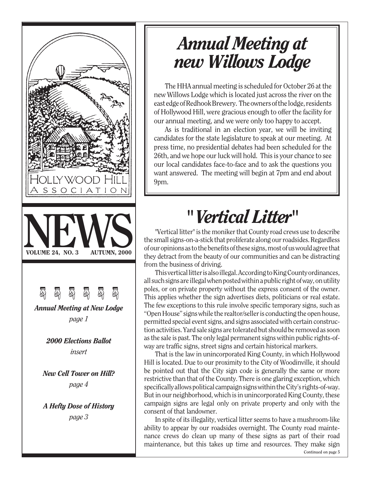

## *Annual Meeting at new Willows Lodge*

The HHA annual meeting is scheduled for October 26 at the new Willows Lodge which is located just across the river on the east edge of Redhook Brewery. The owners of the lodge, residents of Hollywood Hill, were gracious enough to offer the facility for our annual meeting, and we were only too happy to accept.

As is traditional in an election year, we will be inviting candidates for the state legislature to speak at our meeting. At press time, no presidential debates had been scheduled for the 26th, and we hope our luck will hold. This is your chance to see our local candidates face-to-face and to ask the questions you want answered. The meeting will begin at 7pm and end about 9pm.

# *" Vertical Litter"*

"Vertical litter" is the moniker that County road crews use to describe the small signs-on-a-stick that proliferate along our roadsides. Regardless of our opinions as to the benefits of these signs, most of us would agree that they detract from the beauty of our communities and can be distracting from the business of driving.

This vertical litter is also illegal. According to King County ordinances, all such signs are illegal when posted within a public right of way, on utility poles, or on private property without the express consent of the owner. This applies whether the sign advertises diets, politicians or real estate. The few exceptions to this rule involve specific temporary signs, such as "Open House" signs while the realtor/seller is conducting the open house, permitted special event signs, and signs associated with certain construction activities. Yard sale signs are tolerated but should be removed as soon as the sale is past. The only legal permanent signs within public rights-ofway are traffic signs, street signs and certain historical markers.

That is the law in unincorporated King County, in which Hollywood Hill is located. Due to our proximity to the City of Woodinville, it should be pointed out that the City sign code is generally the same or more restrictive than that of the County. There is one glaring exception, which specifically allows political campaign signs within the City's rights-of-way. But in our neighborhood, which is in unincorporated King County, these campaign signs are legal only on private property and only with the consent of that landowner.

In spite of its illegality, vertical litter seems to have a mushroom-like ability to appear by our roadsides overnight. The County road maintenance crews do clean up many of these signs as part of their road maintenance, but this takes up time and resources. They make sign **Continued on page 5**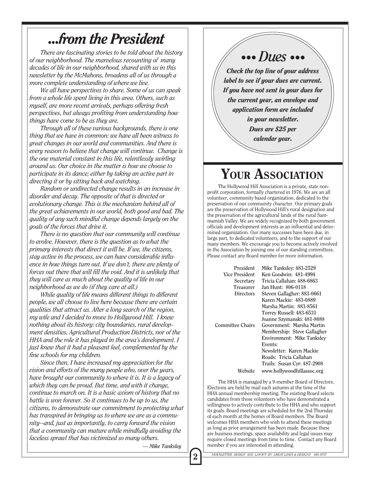### *...from the President*

*There are fascinating stories to be told about the history of our neighborhood. The marvelous recounting of many decades of life in our neighborhood, shared with us in this newsletter by the McMahons, broadens all of us through a more complete understanding of where we live.*

*We all have perspectives to share. Some of us can speak from a whole life spent living in this area. Others, such as myself, are more recent arrivals, perhaps offering fresh perspectives, but always profiting from understanding how things have come to be as they are.*

*Through all of these various backgrounds, there is one thing that we have in common: we have all been witness to great changes in our world and communities. And there is every reason to believe that change will continue. Change is the one material constant in this life, relentlessly swirling around us. Our choice in the matter is how we choose to participate in its dance; either by taking an active part in directing it or by sitting back and watching.*

*Random or undirected change results in an increase in disorder and decay. The opposite of that is directed or evolutionary change. This is the mechanism behind all of the great achievements in our world, both good and bad. The quality of any such mindful change depends largely on the goals of the forces that drive it.*

*There is no question that our community will continue to evolve. However, there is the question as to what the primary interests that direct it will be. If we, the citizens, stay active in the process, we can have considerable influence in how things turn out. If we don't, there are plenty of forces out there that will fill the void. And it is unlikely that they will care as much about the quality of life in our neighborhood as we do (if they care at all.)*

*While quality of life means different things to different people, we all choose to live here because there are certain qualities that attract us. After a long search of the region, my wife and I decided to move to Hollywood Hill. I knew nothing about its history: city boundaries, rural development densities, Agricultural Production Districts, nor of the HHA and the role it has played in the area's development. I just knew that it had a pleasant feel, complemented by the fine schools for my children.*

*Since then, I have increased my appreciation for the vision and efforts of the many people who, over the years, have brought our community to where it is. It is a legacy of which they can be proud. But time, and with it change, continue to march on. It is a basic axiom of history that no battle is won forever. So it continues to be up to us, the citizens, to demonstrate our commitment to protecting what has transpired in bringing us to where we are as a community--and, just as importantly, to carry forward the vision that a community can mature while mindfully avoiding the faceless sprawl that has victimized so many others.*

### *••• Dues •••*

*Check the top line of your address label to see if your dues are current. If you have not sent in your dues for the current year, an envelope and application form are included*

*in your newsletter.*

*Dues are \$25 per*

*calendar year.*

### YOUR ASSOCIATION

The Hollywood Hill Association is a private, state nonprofit corporation, formally chartered in 1976. We are an all volunteer, community based organization, dedicated to the preservation of our community character. Our primary goals are the preservation of Hollywood Hill's rural designation and the preservation of the agricultural lands of the rural Sammamish Valley. We are widely recognized by both government officials and development interests as an influential and determined organization. Our many successes have been due, in large part, to dedicated volunteers, and to the support of our many members. We encourage you to become actively involved in the Association by joining one of our standing committees. Please contact any Board member for more information.

| President        | Mike Tanksley: 483-2529     |
|------------------|-----------------------------|
| Vice President   | Ken Goodwin: 481-4994       |
| Secretary        | Tricia Callahan: 488-6863   |
| Treasurer        | Jan Hunt: 806-0118          |
| <b>Directors</b> | Steven Gallagher: 883-0661  |
|                  | Karen Mackie: 483-0889      |
|                  | Marsha Martin: 883-8561     |
|                  | Torrey Russell: 483-6531    |
|                  | Joanne Szymanski: 481-8088  |
| Committee Chairs | Government: Marsha Martin   |
|                  | Membership: Steve Gallagher |
|                  | Environment: Mike Tanksley  |
|                  | Events:                     |
|                  | Newsletter: Karen Mackie    |
|                  | Roads: Tricia Callahan      |
|                  | Trails: Susan Cyr: 487-2908 |
| Website          | www.hollywoodhillassoc.org  |

The HHA is managed by a 9-member Board of Directors. Elections are held by mail each autumn at the time of the HHA annual membership meeting. The existing Board selects candidates from those volunteers who have demonstrated a willingness to actively contribute to the HHA and who support its goals. Board meetings are scheduled for the 2nd Thursday of each month at the homes of Board members. The Board welcomes HHA members who wish to attend these meetings as long as prior arrangement has been made. Because these are business meetings, space availability and legal issues may require closed meetings from time to time. Contact any Board member if you are interested in attending.

*--- Mike Tanksley*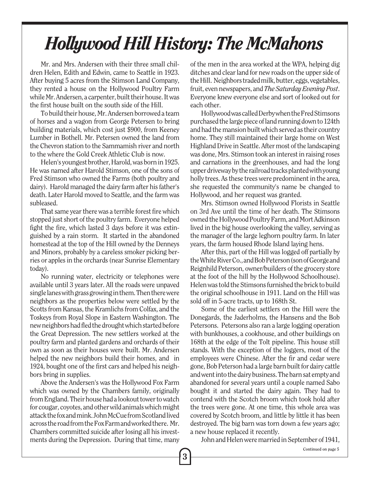# *Hollywood Hill History: The McMahons*

3

Mr. and Mrs. Andersen with their three small children Helen, Edith and Edwin, came to Seattle in 1923. After buying 5 acres from the Stimson Land Company, they rented a house on the Hollywood Poultry Farm while Mr. Andersen, a carpenter, built their house. It was the first house built on the south side of the Hill.

To build their house, Mr. Andersen borrowed a team of horses and a wagon from George Petersen to bring building materials, which cost just \$900, from Keeney Lumber in Bothell. Mr. Petersen owned the land from the Chevron station to the Sammamish river and north to the where the Gold Creek Athletic Club is now.

Helen's youngest brother, Harold, was born in 1925. He was named after Harold Stimson, one of the sons of Fred Stimson who owned the Farms (both poultry and dairy). Harold managed the dairy farm after his father's death. Later Harold moved to Seattle, and the farm was subleased.

That same year there was a terrible forest fire which stopped just short of the poultry farm. Everyone helped fight the fire, which lasted 3 days before it was extinguished by a rain storm. It started in the abandoned homestead at the top of the Hill owned by the Denneys and Minors, probably by a careless smoker picking berries or apples in the orchards (near Sunrise Elementary today).

No running water, electricity or telephones were available until 3 years later. All the roads were unpaved single lanes with grass growing in them. Then there were neighbors as the properties below were settled by the Scotts from Kansas, the Kramlichs from Colfax, and the Toskeys from Royal Slope in Eastern Washington. The new neighbors had fled the drought which started before the Great Depression. The new settlers worked at the poultry farm and planted gardens and orchards of their own as soon as their houses were built. Mr. Andersen helped the new neighbors build their homes, and in 1924, bought one of the first cars and helped his neighbors bring in supplies.

Above the Andersen's was the Hollywood Fox Farm which was owned by the Chambers family, originally from England. Their house had a lookout tower to watch for cougar, coyotes, and other wild animals which might attack the fox and mink. John McCue from Scotland lived across the road from the Fox Farm and worked there. Mr. Chambers committed suicide after losing all his investments during the Depression. During that time, many of the men in the area worked at the WPA, helping dig ditches and clear land for new roads on the upper side of the Hill. Neighbors traded milk, butter, eggs, vegetables, fruit, even newspapers, and *The Saturday Evening Post*. Everyone knew everyone else and sort of looked out for each other.

Hollywood was called Derby when the Fred Stimsons purchased the large piece of land running down to 124th and had the mansion built which served as their country home. They still maintained their large home on West Highland Drive in Seattle. After most of the landscaping was done, Mrs. Stimson took an interest in raising roses and carnations in the greenhouses, and had the long upper driveway by the railroad tracks planted with young holly trees. As these trees were predominent in the area, she requested the community's name be changed to Hollywood, and her request was granted.

Mrs. Stimson owned Hollywood Florists in Seattle on 3rd Ave until the time of her death. The Stimsons owned the Hollywood Poultry Farm, and Mort Adkinson lived in the big house overlooking the valley, serving as the manager of the large leghorn poultry farm. In later years, the farm housed Rhode Island laying hens.

After this, part of the Hill was logged off partially by the White River Co., and Bob Peterson (son of George and Reignhild Peterson, owner/builders of the grocery store at the foot of the hill by the Hollywood Schoolhouse). Helen was told the Stimsons furnished the brick to build the original schoolhouse in 1911. Land on the Hill was sold off in 5-acre tracts, up to 168th St.

Some of the earliest settlers on the Hill were the Donegards, the Jaderholms, the Hansens and the Bob Petersons. Petersons also ran a large logging operation with bunkhouses, a cookhouse, and other buildings on 168th at the edge of the Tolt pipeline. This house still stands. With the exception of the loggers, most of the employees were Chinese. After the fir and cedar were gone, Bob Peterson had a large barn built for dairy cattle and went into the dairy business. The barn sat empty and abandoned for several years until a couple named Sabo bought it and started the dairy again. They had to contend with the Scotch broom which took hold after the trees were gone. At one time, this whole area was covered by Scotch broom, and little by little it has been destroyed. The big barn was torn down a few years ago; a new house replaced it recently.

John and Helen were married in September of 1941,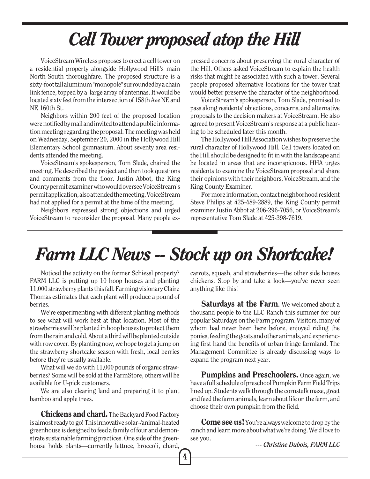# *Cell Tower proposed atop the Hill*

VoiceStream Wireless proposes to erect a cell tower on a residential property alongside Hollywood Hill's main North-South thoroughfare. The proposed structure is a sixty-foot tall aluminum "monopole" surrounded by a chain link fence, topped by a large array of antennas. It would be located sixty feet from the intersection of 158th Ave NE and NE 160th St.

Neighbors within 200 feet of the proposed location were notified by mail and invited to attend a public information meeting regarding the proposal. The meeting was held on Wednesday, September 20, 2000 in the Hollywood Hill Elementary School gymnasium. About seventy area residents attended the meeting.

VoiceStream's spokesperson, Tom Slade, chaired the meeting. He described the project and then took questions and comments from the floor. Justin Abbot, the King County permit examiner who would oversee VoiceStream's permit application, also attended the meeting. VoiceStream had not applied for a permit at the time of the meeting.

Neighbors expressed strong objections and urged VoiceStream to reconsider the proposal. Many people expressed concerns about preserving the rural character of the Hill. Others asked VoiceStream to explain the health risks that might be associated with such a tower. Several people proposed alternative locations for the tower that would better preserve the character of the neighborhood.

VoiceStream's spokesperson, Tom Slade, promised to pass along residents' objections, concerns, and alternative proposals to the decision makers at VoiceStream. He also agreed to present VoiceStream's response at a public hearing to be scheduled later this month.

The Hollywood Hill Association wishes to preserve the rural character of Hollywood Hill. Cell towers located on the Hill should be designed to fit in with the landscape and be located in areas that are inconspicuous. HHA urges residents to examine the VoiceStream proposal and share their opinions with their neighbors, VoiceStream, and the King County Examiner.

For more information, contact neighborhood resident Steve Philips at 425-489-2889, the King County permit examiner Justin Abbot at 206-296-7056, or VoiceStream's representative Tom Slade at 425-398-7619.

### *Farm LLC News -- Stock up on Shortcake!*

Noticed the activity on the former Schiessl property? FARM LLC is putting up 10 hoop houses and planting 11,000 strawberry plants this fall. Farming visionary Claire Thomas estimates that each plant will produce a pound of berries.

We're experimenting with different planting methods to see what will work best at that location. Most of the strawberries will be planted in hoop houses to protect them from the rain and cold. About a third will be planted outside with row cover. By planting now, we hope to get a jump on the strawberry shortcake season with fresh, local berries before they're usually available.

What will we do with 11,000 pounds of organic strawberries? Some will be sold at the FarmStore, others will be available for U-pick customers.

We are also clearing land and preparing it to plant bamboo and apple trees.

**Chickens and chard.** The Backyard Food Factory is almost ready to go! This innovative solar-/animal-heated greenhouse is designed to feed a family of four and demonstrate sustainable farming practices. One side of the greenhouse holds plants—currently lettuce, broccoli, chard, carrots, squash, and strawberries—the other side houses chickens. Stop by and take a look—you've never seen anything like this!

**Saturdays at the Farm.** We welcomed about a thousand people to the LLC Ranch this summer for our popular Saturdays on the Farm program. Visitors, many of whom had never been here before, enjoyed riding the ponies, feeding the goats and other animals, and experiencing first hand the benefits of urban fringe farmland. The Management Committee is already discussing ways to expand the program next year.

Pumpkins and Preschoolers. Once again, we have a full schedule of preschool Pumpkin Farm Field Trips lined up. Students walk through the cornstalk maze, greet and feed the farm animals, learn about life on the farm, and choose their own pumpkin from the field.

**Come see us!** You're always welcome to drop by the ranch and learn more about what we're doing. We'd love to see you.

*--- Christine Dubois, FARM LLC*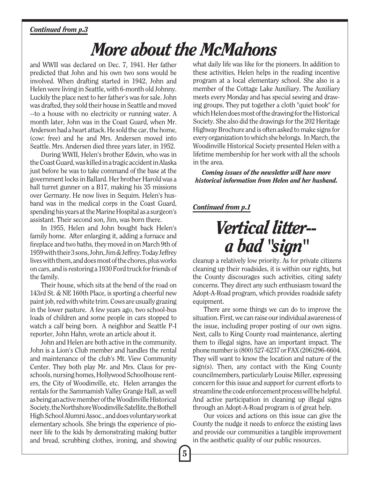#### *Continued from p.3*

### *More about the McMahons*

and WWII was declared on Dec. 7, 1941. Her father predicted that John and his own two sons would be involved. When drafting started in 1942, John and Helen were living in Seattle, with 6-month old Johnny. Luckily the place next to her father's was for sale. John was drafted, they sold their house in Seattle and moved --to a house with no electricity or running water. A month later, John was in the Coast Guard, when Mr. Anderson had a heart attack. He sold the car, the home, (cow: free) and he and Mrs. Andersen moved into Seattle. Mrs. Andersen died three years later, in 1952.

During WWII, Helen's brother Edwin, who was in the Coast Guard, was killed in a tragic accident in Alaska just before he was to take command of the base at the government locks in Ballard. Her brother Harold was a ball turret gunner on a B17, making his 35 missions over Germany. He now lives in Sequim. Helen's husband was in the medical corps in the Coast Guard, spending his years at the Marine Hospital as a surgeon's assistant. Their second son, Jim, was born there.

In 1955, Helen and John bought back Helen's family home. After enlarging it, adding a furnace and fireplace and two baths, they moved in on March 9th of 1959 with their 3 sons, John, Jim & Jeffrey. Today Jeffrey lives with them, and does most of the chores, plus works on cars, and is restoring a 1930 Ford truck for friends of the family.

Their house, which sits at the bend of the road on 143rd St. & NE 160th Place, is sporting a cheerful new paint job, red with white trim. Cows are usually grazing in the lower pasture. A few years ago, two school-bus loads of children and some people in cars stopped to watch a calf being born. A neighbor and Seattle P-I reporter, John Hahn, wrote an article about it.

John and Helen are both active in the community. John is a Lion's Club member and handles the rental and maintenance of the club's Mt. View Community Center. They both play Mr. and Mrs. Claus for preschools, nursing homes, Hollywood Schoolhouse renters, the City of Woodinville, etc. Helen arranges the rentals for the Sammamish Valley Grange Hall, as well as being an active member of the Woodinville Historical Society, the Northshore Woodinville Satellite, the Bothell High School Alumni Assoc., and does voluntary work at elementary schools. She brings the experience of pioneer life to the kids by demonstrating making butter and bread, scrubbing clothes, ironing, and showing what daily life was like for the pioneers. In addition to these activities, Helen helps in the reading incentive program at a local elementary school. She also is a member of the Cottage Lake Auxiliary. The Auxiliary meets every Monday and has special sewing and drawing groups. They put together a cloth "quiet book" for which Helen does most of the drawing for the Historical Society. She also did the drawings for the 202 Heritage Highway Brochure and is often asked to make signs for every organization to which she belongs. In March, the Woodinville Historical Society presented Helen with a lifetime membership for her work with all the schools in the area.

*Coming issues of the newsletter will have more historical information from Helen and her husband.*

#### *Continued from p.1*

### *Vertical litter- a bad "sign"*

cleanup a relatively low priority. As for private citizens cleaning up their roadsides, it is within our rights, but the County discourages such activities, citing safety concerns. They direct any such enthusiasm toward the Adopt-A-Road program, which provides roadside safety equipment.

There are some things we can do to improve the situation. First, we can raise our individual awareness of the issue, including proper posting of our own signs. Next, calls to King County road maintenance, alerting them to illegal signs, have an important impact. The phone number is (800) 527-6237 or FAX (206)296-6604. They will want to know the location and nature of the sign(s). Then, any contact with the King County councilmembers, particularly Louise Miller, expressing concern for this issue and support for current efforts to streamline the code enforcement process will be helpful. And active participation in cleaning up illegal signs through an Adopt-A-Road program is of great help.

Our voices and actions on this issue can give the County the nudge it needs to enforce the existing laws and provide our communities a tangible improvement in the aesthetic quality of our public resources.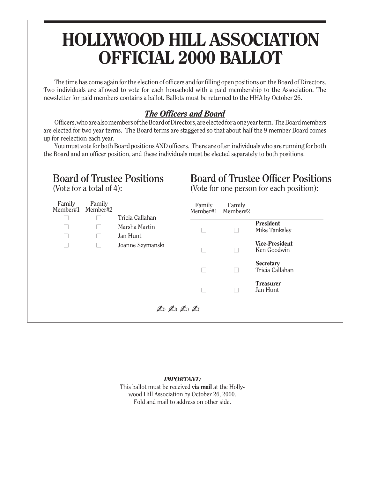### HOLLYWOOD HILL ASSOCIATION OFFICIAL 2000 BALLOT

The time has come again for the election of officers and for filling open positions on the Board of Directors. Two individuals are allowed to vote for each household with a paid membership to the Association. The newsletter for paid members contains a ballot. Ballots must be returned to the HHA by October 26.

### *The Officers and Board*

Officers, who are also members of the Board of Directors, are elected for a one year term. The Board members are elected for two year terms. The Board terms are staggered so that about half the 9 member Board comes up for reelection each year.

You must vote for both Board positions AND officers. There are often individuals who are running for both the Board and an officer position, and these individuals must be elected separately to both positions.



#### *IMPORTANT:*

This ballot must be received via mail at the Hollywood Hill Association by October 26, 2000. Fold and mail to address on other side.